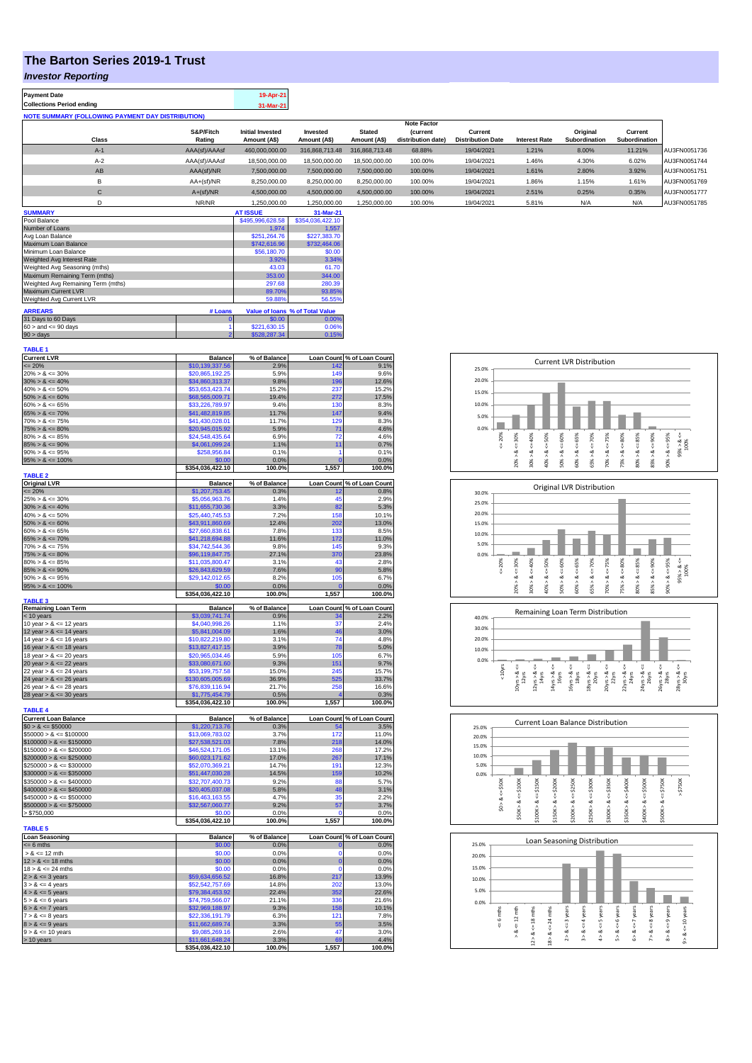## **The Barton Series 2019-1 Trust**

## *Investor Reporting*

| <b>Payment Date</b>                                      | 19-Apr-21 |
|----------------------------------------------------------|-----------|
| <b>Collections Period ending</b>                         | 31-Mar-21 |
| <b>NOTE SUMMARY (FOLLOWING PAYMENT DAY DISTRIBUTION)</b> |           |

|              | <b>Note Factor</b>  |                                         |                          |                               |                                       |                                     |                      |                                  |                          |              |
|--------------|---------------------|-----------------------------------------|--------------------------|-------------------------------|---------------------------------------|-------------------------------------|----------------------|----------------------------------|--------------------------|--------------|
| <b>Class</b> | S&P/Fitch<br>Rating | <b>Initial Invested</b><br>Amount (A\$) | Invested<br>Amount (A\$) | <b>Stated</b><br>Amount (A\$) | <i>(current</i><br>distribution date) | Current<br><b>Distribution Date</b> | <b>Interest Rate</b> | Original<br><b>Subordination</b> | Current<br>Subordination |              |
| $A-1$        | AAA(sf)/AAAsf       | 460,000,000.00                          | 316.868.713.48           | 316.868.713.48                | 68.88%                                | 19/04/2021                          | 1.21%                | 8.00%                            | 11.21%                   | AU3FN0051736 |
| $A-2$        | AAA(sf)/AAAsf       | 18,500,000.00                           | 18,500,000,00            | 18,500,000,00                 | 100.00%                               | 19/04/2021                          | 1.46%                | 4.30%                            | 6.02%                    | AU3FN0051744 |
| AB           | AAA(sf)/NR          | 7.500.000.00                            | 7.500.000.00             | 7.500.000.00                  | 100.00%                               | 19/04/2021                          | 1.61%                | 2.80%                            | 3.92%                    | AU3FN0051751 |
|              | $AA+(sf)/NR$        | 8,250,000.00                            | 8.250.000.00             | 8,250,000.00                  | 100.00%                               | 19/04/2021                          | 1.86%                | 1.15%                            | 1.61%                    | AU3FN0051769 |
| $\sim$<br>U  | $A+(sf)/NR$         | 4,500,000.00                            | 4.500.000.00             | 4,500,000.00                  | 100.00%                               | 19/04/2021                          | 2.51%                | 0.25%                            | 0.35%                    | AU3FN0051777 |
|              | NR/NR               | 1,250,000.00                            | 1.250.000.00             | 1,250,000.00                  | 100.00%                               | 19/04/2021                          | 5.81%                | N/A                              | N/A                      | AU3FN0051785 |
|              |                     |                                         |                          |                               |                                       |                                     |                      |                                  |                          |              |

| <b>SUMMARY</b>                     |                | <b>AT ISSUE</b>  | 31-Mar-21                       |
|------------------------------------|----------------|------------------|---------------------------------|
| Pool Balance                       |                | \$495,996,628.58 | \$354,036,422.10                |
| Number of Loans                    |                | 1.974            | 1.557                           |
| Avg Loan Balance                   |                | \$251.264.76     | \$227,383.70                    |
| Maximum Loan Balance               |                | \$742,616.96     | \$732,464.06                    |
| Minimum Loan Balance               |                | \$56,180.70      | \$0.00                          |
| Weighted Avg Interest Rate         |                | 3.92%            | 3.34%                           |
| Weighted Avg Seasoning (mths)      |                | 43.03            | 61.70                           |
| Maximum Remaining Term (mths)      |                | 353.00           | 344.00                          |
| Weighted Avg Remaining Term (mths) |                | 297.68           | 280.39                          |
| Maximum Current LVR                |                | 89.70%           | 93.85%                          |
| Weighted Avg Current LVR           |                | 59.88%           | 56.55%                          |
| <b>ARREARS</b>                     | # Loans        |                  | Value of Ioans % of Total Value |
| 31 Days to 60 Days                 | $\bf{0}$       | \$0.00           | 0.00%                           |
| $60 >$ and $\leq 90$ days          |                | \$221,630.15     | 0.06%                           |
| $90 >$ days                        | $\overline{2}$ | \$528,287.34     | 0.15%                           |

| <b>TABLE 1</b>                             |                  |              |                 |                            |
|--------------------------------------------|------------------|--------------|-----------------|----------------------------|
| <b>Current LVR</b>                         | <b>Balance</b>   | % of Balance |                 | Loan Count % of Loan Count |
| $= 20%$                                    | \$10,139,337.56  | 2.9%         | 142             | 9.1%                       |
| $20\% > 8 \le 30\%$                        | \$20,865,192.25  | 5.9%         | 149             | 9.6%                       |
| $30\% > 8 \le 40\%$                        | \$34,860,313.37  | 9.8%         | 196             | 12.6%                      |
| $40\% > 8 \le 50\%$                        | \$53,653,423.74  | 15.2%        | 237             | 15.2%                      |
| $50\% > 8 \le 60\%$                        | \$68,565,009.71  | 19.4%        | 272             | 17.5%                      |
| $60\% > 8 \le 65\%$                        | \$33,226,789.97  | 9.4%         | 13 <sub>C</sub> | 8.3%                       |
| $65\% > 8 \le 70\%$                        | \$41,482,819.85  | 11.7%        | 147             | 9.4%                       |
| $70\% > 8 \le 75\%$                        | \$41,430,028.01  | 11.7%        | 129             | 8.3%                       |
| $75\% > 8 \le 80\%$                        | \$20,945,015.92  | 5.9%         | 71              | 4.6%                       |
| $80\% > 8 \le 85\%$                        | \$24,548,435.64  | 6.9%         | 72              | 4.6%                       |
| $85\% > 8 \le 90\%$                        | \$4,061,099.24   | 1.1%         | 11              | 0.7%                       |
| $90\% > 8 \le 95\%$                        | \$258,956.84     | 0.1%         | 1               | 0.1%                       |
| $95\% > 8 \le 100\%$                       | \$0.00           | 0.0%         | C               | 0.0%                       |
|                                            | \$354,036,422.10 | 100.0%       | 1,557           | 100.0%                     |
| <b>TABLE 2</b>                             |                  |              |                 |                            |
| <b>Original LVR</b>                        | <b>Balance</b>   | % of Balance |                 | Loan Count % of Loan Count |
| $= 20%$                                    | \$1,207,753.45   | 0.3%         | 12              | 0.8%                       |
| $25\% > 8 \le 30\%$                        | \$5,056,963.76   | 1.4%         | 45              | 2.9%                       |
| $30\% > 8 \le 40\%$                        | \$11,655,730.36  | 3.3%         | 82              | 5.3%                       |
| $40\% > 8 \le 50\%$                        | \$25,440,745.53  | 7.2%         | 158             | 10.1%                      |
| $50\% > 8 \le 60\%$                        | \$43,911,860.69  | 12.4%        | 202             | 13.0%                      |
| $60\% > 8 \le 65\%$                        | \$27,660,838.61  | 7.8%         | 133             | 8.5%                       |
| $65\% > 8 \le 70\%$                        | \$41,218,694.88  | 11.6%        | 172             | 11.0%                      |
| $70\% > 8 \le 75\%$                        | \$34,742,544.36  | 9.8%         | 145             | 9.3%                       |
| $75\% > 8 \le 80\%$                        | \$96,119,847.75  | 27.1%        | 370             | 23.8%                      |
| $80\% > 8 \le 85\%$                        | \$11,035,800.47  | 3.1%         | 43              | 2.8%                       |
| $85\% > 8 \le 90\%$                        | \$26,843,629.59  | 7.6%         | 90              | 5.8%                       |
| $90\% > 8 \le 95\%$                        | \$29,142,012.65  | 8.2%         | 105             | 6.7%                       |
| $95\% > 8 \le 100\%$                       | \$0.00           | 0.0%         | $\mathbf 0$     | 0.0%                       |
|                                            | \$354,036,422.10 | 100.0%       | 1,557           | 100.0%                     |
| <b>TABLE 3</b>                             |                  |              |                 |                            |
| <b>Remaining Loan Term</b>                 | <b>Balance</b>   | % of Balance |                 | Loan Count % of Loan Count |
| < 10 years                                 | \$3,039,741.74   | 0.9%         | 34              | 2.2%                       |
| 10 year $> 8 \le 12$ years                 | \$4,040,998.26   | 1.1%         | 37              | 2.4%                       |
| 12 year $> 8 \le 14$ years                 | \$5,841,004.09   | 1.6%         | 46              | 3.0%                       |
| 14 year $> 8 \le 16$ years                 | \$10,822,219.80  | 3.1%         | 74              | 4.8%                       |
| 16 year $> 8 \le 18$ years                 | \$13,827,417.15  | 3.9%         | 78              | 5.0%                       |
| 18 year > & <= 20 years                    | \$20,965,034.46  | 5.9%         | 105             | 6.7%                       |
| 20 year $> 8 < 22$ years                   | \$33,080,671.60  | 9.3%         | 151             | 9.7%                       |
| 22 year > & <= 24 years                    | \$53,199,757.58  | 15.0%        | 245             | 15.7%                      |
| 24 year $> 8 \le 26$ years                 | \$130,605,005.69 | 36.9%        | 525             | 33.7%                      |
| 26 year > & <= 28 years                    | \$76,839,116.94  | 21.7%        | 258             | 16.6%                      |
| 28 year $> 8 \le 30$ years                 | \$1,775,454.79   | 0.5%         | 4               | 0.3%                       |
|                                            | \$354,036,422.10 | 100.0%       | 1,557           | 100.0%                     |
| <b>TABLE 4</b>                             |                  |              |                 |                            |
| <b>Current Loan Balance</b>                | <b>Balance</b>   | % of Balance |                 | Loan Count % of Loan Count |
| $$0 > 8 \le $50000$                        | \$1,220,713.76   | 0.3%         |                 | 3.5%                       |
| $$50000 > 8 \le $100000$                   | \$13,069,783.02  | 3.7%         | 172             | 11.0%                      |
| $$100000 > 8 \leq $150000$                 | \$27,538,521.03  | 7.8%         | 218             | 14.0%                      |
| $$150000 > 8 \le $200000$                  | \$46,524,171.05  | 13.1%        | 268             | 17.2%                      |
| $$200000 > 8 \leq $250000$                 | \$60,023,171.62  | 17.0%        | 267             | 17.1%                      |
| $$250000 > 8 \leq $300000$                 | \$52.070.369.21  | 14.7%        | 191             | 12.3%                      |
| $$300000 > 8 \leq $350000$                 | \$51,447,030.28  |              |                 |                            |
| $$350000 > 8 \le $400000$                  |                  | 14.5%        | 159             | 10.2%                      |
| $$400000 > 8 \leq $450000$                 | \$32,707,400.73  | 9.2%         | 88              | 5.7%                       |
|                                            | \$20,405,037.08  | 5.8%         | 48              | 3.1%                       |
| $$450000 > 8 \le $500000$                  | \$16,463,163.55  | 4.7%         | 35              | 2.2%                       |
| $$500000 > 8 \leq $750000$                 | \$32,567,060.77  | 9.2%         | 57              | 3.7%                       |
| > \$750,000                                | \$0.00           | 0.0%         | O               | 0.0%                       |
|                                            | \$354,036,422.10 | 100.0%       | 1,557           | 100.0%                     |
| <b>TABLE 5</b>                             |                  |              |                 |                            |
| <b>Loan Seasoning</b>                      | <b>Balance</b>   | % of Balance |                 | Loan Count % of Loan Count |
| $= 6$ mths                                 | \$0.00           | 0.0%         | $\mathbf{0}$    | 0.0%                       |
| $> 8 \le 12$ mth                           | \$0.00           | 0.0%         | $\Omega$        | 0.0%                       |
| $12 > 8 \le 18$ mths                       | \$0.00           | 0.0%         | $\bf{0}$        | 0.0%                       |
| $18 > 8 \le 24$ mths                       | \$0.00           | 0.0%         | $\Omega$        | 0.0%                       |
| $2 > 8 \le 3$ years                        | \$59,634,656.52  | 16.8%        | 217             | 13.9%                      |
| $3 > 8 \le 4$ years                        | \$52,542,757.69  | 14.8%        | 202             | 13.0%                      |
| $4 > 8 \le 5$ years                        | \$79,384,453.92  | 22.4%        | 352             | 22.6%                      |
| $5 > 8 \le 6$ years                        | \$74,759,566.07  | 21.1%        | 336             | 21.6%                      |
|                                            | \$32,969,188.97  | 9.3%         | 158             | 10.1%                      |
| $6 > 8 \le 7$ years<br>$7 > 8 \le 8$ years | \$22,336,191.79  | 6.3%         | 121             | 7.8%                       |
| $8 > 8 \le 9$ years                        | \$11,662,689.74  | 3.3%         | 55              | 3.5%                       |
|                                            | \$9,085,269.16   | 2.6%         | 47              | 3.0%                       |
| $9 > 8 \le 10$ years<br>> 10 years         | \$11,661,648.24  | 3.3%         | 69              | 4.4%                       |
|                                            | \$354,036,422.10 | 100.0%       | 1,557           | 100.0%                     |









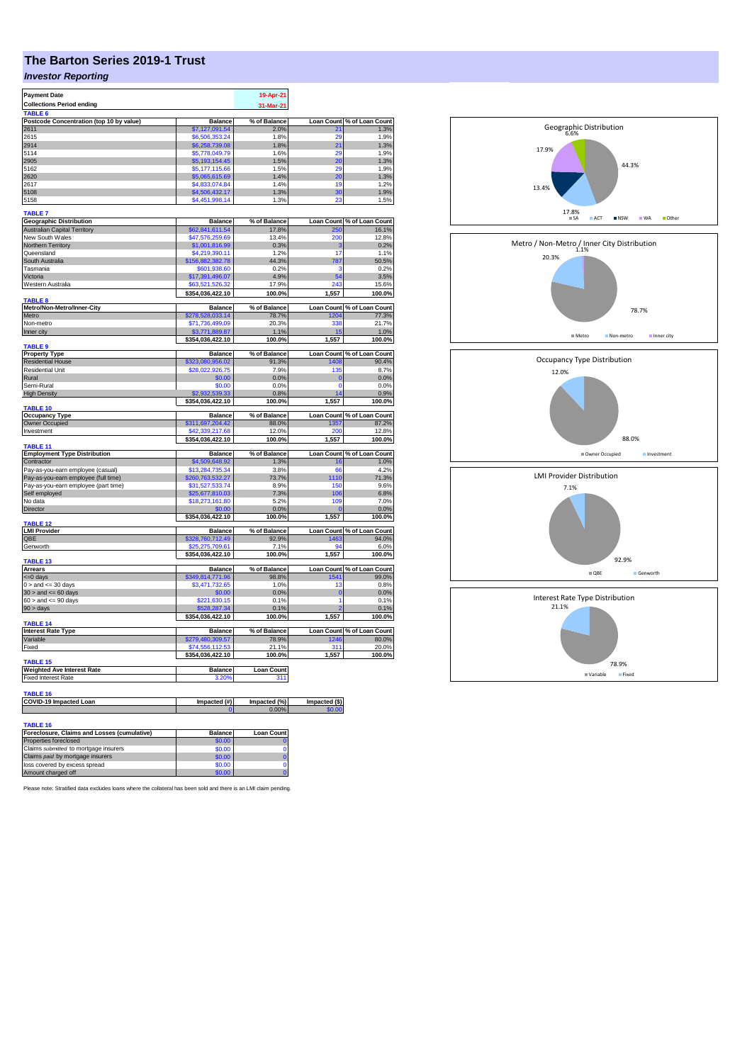## **The Barton Series 2019-1 Trust**

## *Investor Reporting*

| <b>Payment Date</b>                                            |                                  | 19-Apr-21            |                         |                                                                                                                |
|----------------------------------------------------------------|----------------------------------|----------------------|-------------------------|----------------------------------------------------------------------------------------------------------------|
| <b>Collections Period ending</b>                               |                                  | 31-Mar-21            |                         |                                                                                                                |
| TABLE <sub>6</sub>                                             |                                  |                      |                         |                                                                                                                |
| Postcode Concentration (top 10 by value)<br>2611               | <b>Balance</b><br>\$7.127.091.54 | % of Balance<br>2.0% | <b>Loan Count</b><br>21 | % of Loan Count<br>1.3%                                                                                        |
| 2615                                                           | \$6,506,353.24                   | 1.8%                 | 29                      | 1.9%                                                                                                           |
| 2914                                                           | \$6,258,739.08                   | 1.8%                 | 21                      | 1.3%                                                                                                           |
| 5114                                                           | \$5,778,049.79                   | 1.6%                 | 29                      | 1.9%                                                                                                           |
| 2905                                                           | \$5,193,154.45                   | 1.5%                 | 20                      | 1.3%                                                                                                           |
| 5162                                                           | \$5,177,115.66                   | 1.5%                 | 29                      | 1.9%                                                                                                           |
| 2620                                                           | \$5,065,615.69                   | 1.4%                 | 20                      | 1.3%                                                                                                           |
| 2617                                                           | \$4,833,074.84                   | 14%                  | 19                      | 1.2%                                                                                                           |
| 5108                                                           | \$4,506,432.17                   | 1.3%                 | 30                      | 1.9%                                                                                                           |
| 5158                                                           | \$4,451,998.14                   | 1.3%                 | 23                      | 1.5%                                                                                                           |
| <b>TABLE 7</b>                                                 |                                  |                      |                         |                                                                                                                |
| <b>Geographic Distribution</b>                                 | <b>Balance</b>                   | % of Balance         |                         | Loan Count % of Loan Count                                                                                     |
| <b>Australian Capital Territory</b>                            | \$62,841,611.54                  | 17.8%                | 250                     | 16.1%                                                                                                          |
| New South Wales                                                | \$47,576,259.69                  | 13.4%                | 200                     | 12.8%                                                                                                          |
| Northern Territory                                             | \$1,001,816.99                   | 0.3%                 | 3                       | 0.2%                                                                                                           |
| Queensland                                                     | 4,219,390.11                     | 1.2%                 | 17                      | 1.1%                                                                                                           |
| South Australia                                                | \$156,882,382.78                 | 44.3%                | 787                     | 50.5%                                                                                                          |
| Tasmania                                                       | \$601,938.60                     | 0.2%                 | ä                       | 0.2%                                                                                                           |
| Victoria                                                       | \$17,391,496.07                  | 4.9%                 | 54                      | 3.5%                                                                                                           |
| Western Australia                                              | \$63,521,526.32                  | 17.9%                | 243                     | 15.6%                                                                                                          |
|                                                                | \$354,036,422.10                 | 100.0%               | 1,557                   | 100.0%                                                                                                         |
| <b>TABLE 8</b><br>Metro/Non-Metro/Inner-City                   | <b>Balance</b>                   | % of Balance         |                         | Loan Count % of Loan Count                                                                                     |
| Metro                                                          | \$278,528,033.14                 | 78.7%                | 1204                    | 77.3%                                                                                                          |
| Non-metro                                                      | \$71,736,499.09                  | 20.3%                | 338                     | 21.7%                                                                                                          |
| Inner city                                                     | \$3,771,889.87                   | 1.1%                 | 15                      | 1.0%                                                                                                           |
|                                                                | \$354,036,422.10                 | 100.0%               | 1,557                   | 100.0%                                                                                                         |
| <b>TABLE 9</b>                                                 |                                  |                      |                         |                                                                                                                |
| <b>Property Type</b>                                           | <b>Balance</b>                   | % of Balance         |                         | Loan Count % of Loan Count                                                                                     |
| <b>Residential House</b>                                       | \$323,080,956.02                 | 91.3%                | 1408                    | 90.4%                                                                                                          |
| <b>Residential Unit</b>                                        | \$28,022,926.75                  | 7.9%                 | 135                     | 8.7%                                                                                                           |
| Rural                                                          | \$0.00                           | 0.0%                 | $\mathbf{0}$            | 0.0%                                                                                                           |
| Semi-Rural                                                     | \$0.00<br>\$2,932,539.33         | 0.0%                 | $\Omega$                | 0.0%<br>0.9%                                                                                                   |
| <b>High Density</b>                                            | \$354,036,422.10                 | 0.8%<br>100.0%       | 14<br>1,557             | 100.0%                                                                                                         |
| <b>TABLE 10</b>                                                |                                  |                      |                         |                                                                                                                |
| <b>Occupancy Type</b>                                          | <b>Balance</b>                   | % of Balance         |                         | Loan Count % of Loan Count                                                                                     |
| Owner Occupied                                                 | \$311,697,204.42                 | 88.0%                | 1357                    | 87.2%                                                                                                          |
| Investment                                                     | \$42,339,217.68                  | 12.0%                | 200                     | 12.8%                                                                                                          |
|                                                                | \$354,036,422.10                 | 100.0%               | 1,557                   | 100.0%                                                                                                         |
| TABLE <sub>11</sub>                                            |                                  |                      |                         |                                                                                                                |
| <b>Employment Type Distribution</b><br>Contractor              | <b>Balance</b><br>\$4,509,648.92 | % of Balance<br>1.3% | <b>Loan Count</b>       | % of Loan Count                                                                                                |
| Pay-as-you-earn employee (casual)                              |                                  |                      |                         |                                                                                                                |
|                                                                |                                  |                      | 16                      |                                                                                                                |
|                                                                | \$13,284,735.34                  | 3.8%                 | 66                      |                                                                                                                |
| Pay-as-you-earn employee (full time)                           | \$260,763,532.27                 | 73.7%                | 1110                    |                                                                                                                |
| Pay-as-you-earn employee (part time)                           | \$31,527,533.74                  | 8.9%                 | 150                     |                                                                                                                |
| Self employed<br>No data                                       | 25,677,810.03                    | 7.3%<br>5.2%         | 106<br>10 <sub>s</sub>  |                                                                                                                |
|                                                                | \$18,273,161.80<br>\$0.00        |                      |                         |                                                                                                                |
| Director                                                       |                                  | 0.0%                 |                         |                                                                                                                |
| <b>TABLE 12</b>                                                | \$354,036,422.10                 | 100.0%               | 1,557                   |                                                                                                                |
| <b>LMI Provider</b>                                            | <b>Balance</b>                   | % of Balance         |                         |                                                                                                                |
| QBE                                                            | \$328,760,712.49                 | 92.9%                | 1463                    |                                                                                                                |
| Genworth                                                       | \$25,275,709.61                  | 7.1%                 | 94                      | 1.0%<br>4.2%<br>71.3%<br>9.6%<br>6.8%<br>7.0%<br>0.0%<br>100.0%<br>Loan Count % of Loan Count<br>94.0%<br>6.0% |
|                                                                | \$354,036,422.10                 | 100.0%               | 1,557                   | 100.0%                                                                                                         |
| <b>TABLE 13</b>                                                |                                  |                      |                         |                                                                                                                |
| <b>Arrears</b>                                                 | <b>Balance</b>                   | % of Balance         |                         |                                                                                                                |
| <= 0 days                                                      | \$349,814,771.96                 | 98.8%<br>1.0%        | 1541<br>13              |                                                                                                                |
| $0 >$ and $\leq$ 30 days<br>$30 >$ and $\leq 60$ days          | \$3,471,732.65<br>\$0.00         | 0.0%                 | $\mathbf 0$             | Loan Count % of Loan Count<br>99.0%<br>0.8%<br>0.0%                                                            |
| $60 >$ and $\leq 90$ days                                      | \$221,630.15                     | 0.1%                 | 1                       | 0.1%                                                                                                           |
| 90 > days                                                      | \$528,287.34                     | 0.1%                 |                         | 0.1%                                                                                                           |
|                                                                | \$354,036,422.10                 | 100.0%               | 1,557                   | 100.0%                                                                                                         |
| <b>TABLE 14</b>                                                |                                  |                      |                         |                                                                                                                |
| <b>Interest Rate Type</b>                                      | <b>Balance</b>                   | % of Balance         |                         | Loan Count % of Loan Count                                                                                     |
| Variable                                                       | \$279,480,309.57                 | 78.9%                | 1246                    | 80.0%                                                                                                          |
| Fixed                                                          | \$74,556,112,53                  | 21.1%                | 311                     | 20.0%                                                                                                          |
| <b>TABLE 15</b>                                                | \$354,036,422.10                 | 100.0%               | 1,557                   |                                                                                                                |
| <b>Weighted Ave Interest Rate</b>                              | <b>Balance</b>                   | <b>Loan Count</b>    |                         |                                                                                                                |
| <b>Fixed Interest Rate</b>                                     | 3.20%                            | 311                  |                         |                                                                                                                |
|                                                                |                                  |                      |                         |                                                                                                                |
| <b>TABLE 16</b>                                                |                                  |                      |                         | 100.0%                                                                                                         |
| <b>COVID-19 Impacted Loan</b>                                  | Impacted (#)                     | Impacted (%)         | Impacted (\$)           |                                                                                                                |
|                                                                |                                  | 0.00%                | \$0.00                  |                                                                                                                |
|                                                                |                                  |                      |                         |                                                                                                                |
| <b>TABLE 16</b><br>Foreclosure, Claims and Losses (cumulative) | <b>Balance</b>                   | <b>Loan Count</b>    |                         |                                                                                                                |

| Foreclosure, Claims and Losses (cumulative) | <b>Balance</b> | <b>Loan Count</b> |
|---------------------------------------------|----------------|-------------------|
| Properties foreclosed                       | \$0.00         |                   |
| Claims submitted to mortgage insurers       | \$0.00         |                   |
| Claims paid by mortgage insurers            | \$0.00         |                   |
| loss covered by excess spread               | \$0.00         |                   |
| Amount charged off                          | \$0.00         |                   |

Please note: Stratified data excludes loans where the collateral has been sold and there is an LMI claim pending.